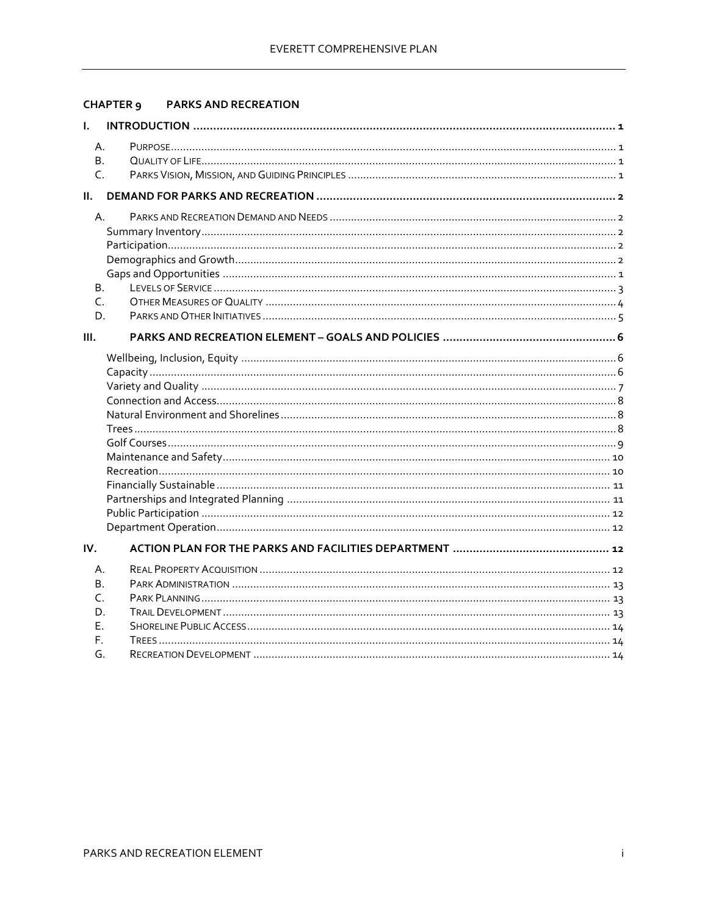# CHAPTER 9 PARKS AND RECREATION

| L.             |    |  |
|----------------|----|--|
| А.             |    |  |
|                | В. |  |
| C.             |    |  |
| Ш.             |    |  |
| $\mathsf{A}$ . |    |  |
|                |    |  |
|                |    |  |
|                |    |  |
|                |    |  |
| Β.             |    |  |
| $\mathsf{C}$   |    |  |
|                | D. |  |
| Ш.             |    |  |
|                |    |  |
|                |    |  |
|                |    |  |
|                |    |  |
|                |    |  |
|                |    |  |
|                |    |  |
|                |    |  |
|                |    |  |
|                |    |  |
|                |    |  |
|                |    |  |
|                |    |  |
| IV.            |    |  |
|                | А. |  |
| В.             |    |  |
| $\subset$      |    |  |
| D.             |    |  |
| Е.             |    |  |
| F.             |    |  |
| G.             |    |  |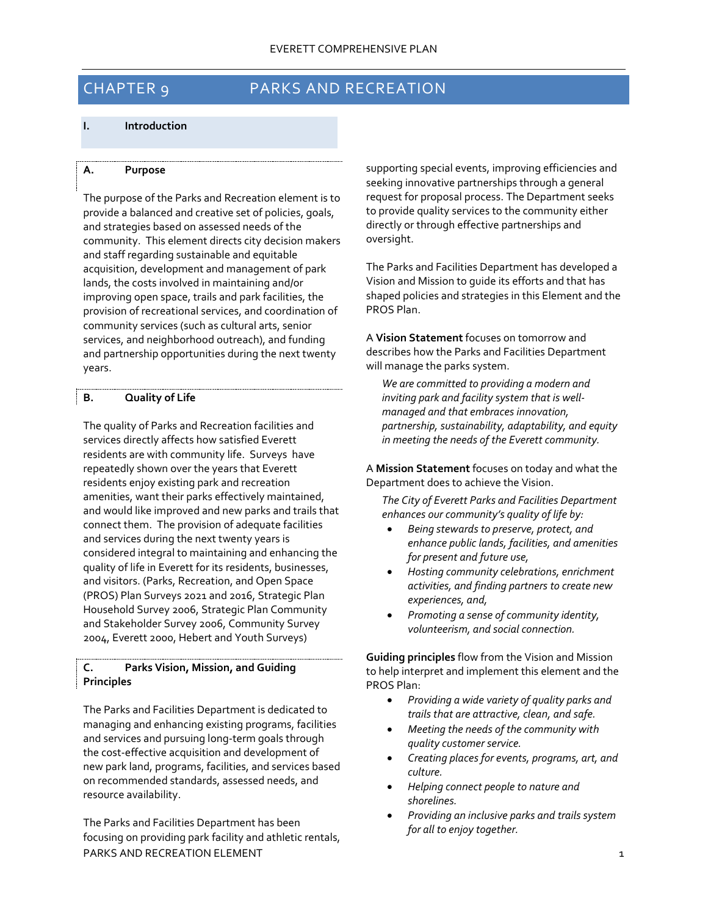# CHAPTER 9 PARKS AND RECREATION

#### <span id="page-1-0"></span>**I. Introduction**

#### <span id="page-1-1"></span>**A. Purpose**

The purpose of the Parks and Recreation element is to provide a balanced and creative set of policies, goals, and strategies based on assessed needs of the community. This element directs city decision makers and staff regarding sustainable and equitable acquisition, development and management of park lands, the costs involved in maintaining and/or improving open space, trails and park facilities, the provision of recreational services, and coordination of community services (such as cultural arts, senior services, and neighborhood outreach), and funding and partnership opportunities during the next twenty years.

# <span id="page-1-2"></span>**B. Quality of Life**

The quality of Parks and Recreation facilities and services directly affects how satisfied Everett residents are with community life. Surveys have repeatedly shown over the years that Everett residents enjoy existing park and recreation amenities, want their parks effectively maintained, and would like improved and new parks and trails that connect them. The provision of adequate facilities and services during the next twenty years is considered integral to maintaining and enhancing the quality of life in Everett for its residents, businesses, and visitors. (Parks, Recreation, and Open Space (PROS) Plan Surveys 2021 and 2016, Strategic Plan Household Survey 2006, Strategic Plan Community and Stakeholder Survey 2006, Community Survey 2004, Everett 2000, Hebert and Youth Surveys)

# <span id="page-1-3"></span>**C. Parks Vision, Mission, and Guiding Principles**

The Parks and Facilities Department is dedicated to managing and enhancing existing programs, facilities and services and pursuing long-term goals through the cost-effective acquisition and development of new park land, programs, facilities, and services based on recommended standards, assessed needs, and resource availability.

PARKS AND RECREATION ELEMENT THE RESERVE OF THE RECORD OF THE RECORD OF THE RECORD OF THE RECORD OF THE RECORD OF THE RECORD OF THE RECORD OF THE RECORD OF THE RECORD OF THE RECORD OF THE RECORD OF THE RECORD OF THE RECORD The Parks and Facilities Department has been focusing on providing park facility and athletic rentals,

supporting special events, improving efficiencies and seeking innovative partnerships through a general request for proposal process. The Department seeks to provide quality services to the community either directly or through effective partnerships and oversight.

The Parks and Facilities Department has developed a Vision and Mission to guide its efforts and that has shaped policies and strategies in this Element and the PROS Plan.

A **Vision Statement** focuses on tomorrow and describes how the Parks and Facilities Department will manage the parks system.

*We are committed to providing a modern and inviting park and facility system that is wellmanaged and that embraces innovation, partnership, sustainability, adaptability, and equity in meeting the needs of the Everett community.*

A **Mission Statement** focuses on today and what the Department does to achieve the Vision.

*The City of Everett Parks and Facilities Department enhances our community's quality of life by:*

- *Being stewards to preserve, protect, and enhance public lands, facilities, and amenities for present and future use,*
- *Hosting community celebrations, enrichment activities, and finding partners to create new experiences, and,*
- *Promoting a sense of community identity, volunteerism, and social connection.*

**Guiding principles** flow from the Vision and Mission to help interpret and implement this element and the PROS Plan:

- *Providing a wide variety of quality parks and trails that are attractive, clean, and safe.*
- *Meeting the needs of the community with quality customer service.*
- *Creating places for events, programs, art, and culture.*
- *Helping connect people to nature and shorelines.*
- *Providing an inclusive parks and trails system for all to enjoy together.*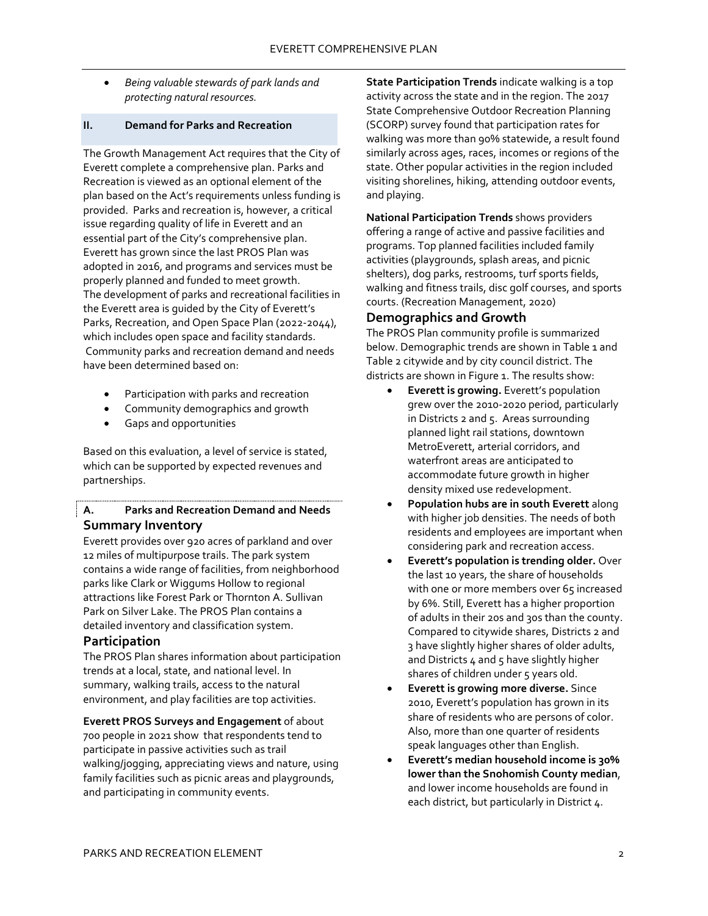• *Being valuable stewards of park lands and protecting natural resources.*

# <span id="page-2-0"></span>**II. Demand for Parks and Recreation**

The Growth Management Act requires that the City of Everett complete a comprehensive plan. Parks and Recreation is viewed as an optional element of the plan based on the Act's requirements unless funding is provided. Parks and recreation is, however, a critical issue regarding quality of life in Everett and an essential part of the City's comprehensive plan. Everett has grown since the last PROS Plan was adopted in 2016, and programs and services must be properly planned and funded to meet growth. The development of parks and recreational facilities in the Everett area is guided by the City of Everett's Parks, Recreation, and Open Space Plan (2022-2044), which includes open space and facility standards. Community parks and recreation demand and needs have been determined based on:

- Participation with parks and recreation
- Community demographics and growth
- Gaps and opportunities

Based on this evaluation, a level of service is stated, which can be supported by expected revenues and partnerships.

# <span id="page-2-2"></span><span id="page-2-1"></span>**A. Parks and Recreation Demand and Needs Summary Inventory**

Everett provides over 920 acres of parkland and over 12 miles of multipurpose trails. The park system contains a wide range of facilities, from neighborhood parks like Clark or Wiggums Hollow to regional attractions like Forest Park or Thornton A. Sullivan Park on Silver Lake. The PROS Plan contains a detailed inventory and classification system.

#### <span id="page-2-3"></span>**Participation**

The PROS Plan shares information about participation trends at a local, state, and national level. In summary, walking trails, access to the natural environment, and play facilities are top activities.

**Everett PROS Surveys and Engagement** of about 700 people in 2021 show that respondents tend to participate in passive activities such as trail walking/jogging, appreciating views and nature, using family facilities such as picnic areas and playgrounds, and participating in community events.

**State Participation Trends** indicate walking is a top activity across the state and in the region. The 2017 State Comprehensive Outdoor Recreation Planning (SCORP) survey found that participation rates for walking was more than 90% statewide, a result found similarly across ages, races, incomes or regions of the state. Other popular activities in the region included visiting shorelines, hiking, attending outdoor events, and playing.

**National Participation Trends** shows providers offering a range of active and passive facilities and programs. Top planned facilities included family activities (playgrounds, splash areas, and picnic shelters), dog parks, restrooms, turf sports fields, walking and fitness trails, disc golf courses, and sports courts. (Recreation Management, 2020)

# <span id="page-2-4"></span>**Demographics and Growth**

The PROS Plan community profile is summarized below. Demographic trends are shown in Table 1 and Table 2 citywide and by city council district. The districts are shown in Figure 1. The results show:

- **Everett is growing.** Everett's population grew over the 2010-2020 period, particularly in Districts 2 and 5. Areas surrounding planned light rail stations, downtown MetroEverett, arterial corridors, and waterfront areas are anticipated to accommodate future growth in higher density mixed use redevelopment.
- **Population hubs are in south Everett** along with higher job densities. The needs of both residents and employees are important when considering park and recreation access.
- **Everett's population is trending older.** Over the last 10 years, the share of households with one or more members over 65 increased by 6%. Still, Everett has a higher proportion of adults in their 20s and 30s than the county. Compared to citywide shares, Districts 2 and 3 have slightly higher shares of older adults, and Districts  $4$  and  $5$  have slightly higher shares of children under 5 years old.
- **Everett is growing more diverse.** Since 2010, Everett's population has grown in its share of residents who are persons of color. Also, more than one quarter of residents speak languages other than English.
- **Everett's median household income is 30% lower than the Snohomish County median**, and lower income households are found in each district, but particularly in District 4.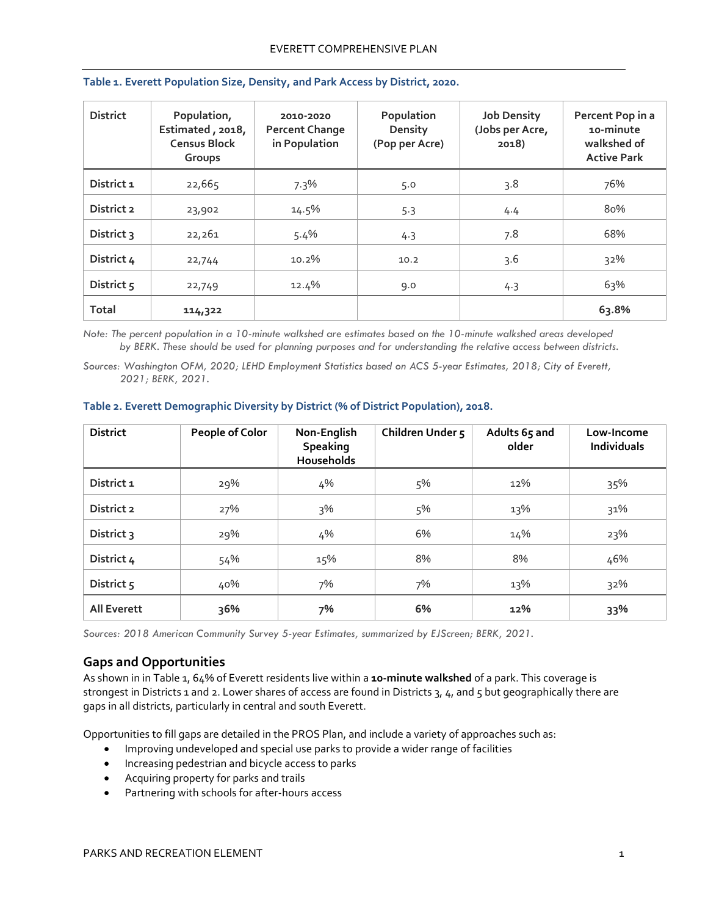| <b>District</b> | Population,<br>Estimated, 2018,<br><b>Census Block</b><br>Groups | 2010-2020<br><b>Percent Change</b><br>in Population | Population<br>Density<br>(Pop per Acre) | <b>Job Density</b><br>(Jobs per Acre,<br>2018) | Percent Pop in a<br>10-minute<br>walkshed of<br><b>Active Park</b> |
|-----------------|------------------------------------------------------------------|-----------------------------------------------------|-----------------------------------------|------------------------------------------------|--------------------------------------------------------------------|
| District 1      | 22,665                                                           | 7.3%                                                | 5.0                                     | 3.8                                            | 76%                                                                |
| District 2      | 23,902                                                           | 14.5%                                               | 5.3                                     | 4.4                                            | 80%                                                                |
| District 3      | 22,261                                                           | 5.4%                                                | 4.3                                     | 7.8                                            | 68%                                                                |
| District 4      | 22,744                                                           | 10.2%                                               | 10.2                                    | 3.6                                            | 32%                                                                |
| District 5      | 22,749                                                           | 12.4%                                               | 9.0                                     | 4.3                                            | 63%                                                                |
| <b>Total</b>    | 114,322                                                          |                                                     |                                         |                                                | 63.8%                                                              |

#### **Table 1. Everett Population Size, Density, and Park Access by District, 2020.**

*Note: The percent population in a 10-minute walkshed are estimates based on the 10-minute walkshed areas developed by BERK. These should be used for planning purposes and for understanding the relative access between districts.*

*Sources: Washington OFM, 2020; LEHD Employment Statistics based on ACS 5-year Estimates, 2018; City of Everett, 2021; BERK, 2021.*

| <b>District</b>    | People of Color | Non-English<br><b>Speaking</b><br>Households | Children Under 5 | Adults 65 and<br>older | Low-Income<br>Individuals |
|--------------------|-----------------|----------------------------------------------|------------------|------------------------|---------------------------|
| District 1         | 29%             | 4%                                           | 5%               | 12%                    | 35%                       |
| District 2         | 27%             | $3\%$                                        | 5%               | 13%                    | 31%                       |
| District 3         | 29%             | 4%                                           | 6%               | 14%                    | 23%                       |
| District 4         | 54%             | 15%                                          | 8%               | 8%                     | 46%                       |
| District 5         | 40%             | 7%                                           | 7%               | 13%                    | 32%                       |
| <b>All Everett</b> | 36%             | 7%                                           | 6%               | 12%                    | 33%                       |

#### **Table 2. Everett Demographic Diversity by District (% of District Population), 2018.**

*Sources: 2018 American Community Survey 5-year Estimates, summarized by EJScreen; BERK, 2021.*

# <span id="page-3-0"></span>**Gaps and Opportunities**

As shown in in Table 1, 64% of Everett residents live within a **10-minute walkshed** of a park. This coverage is strongest in Districts 1 and 2. Lower shares of access are found in Districts 3, 4, and 5 but geographically there are gaps in all districts, particularly in central and south Everett.

Opportunities to fill gaps are detailed in the PROS Plan, and include a variety of approaches such as:

- Improving undeveloped and special use parks to provide a wider range of facilities
- Increasing pedestrian and bicycle access to parks
- Acquiring property for parks and trails
- Partnering with schools for after-hours access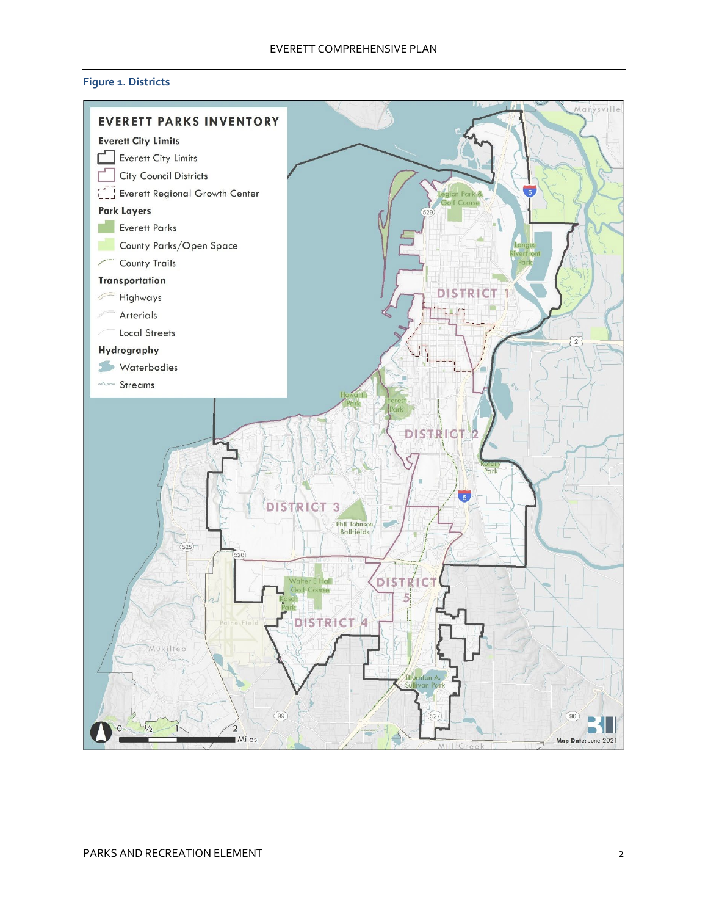# **Figure 1. Districts**

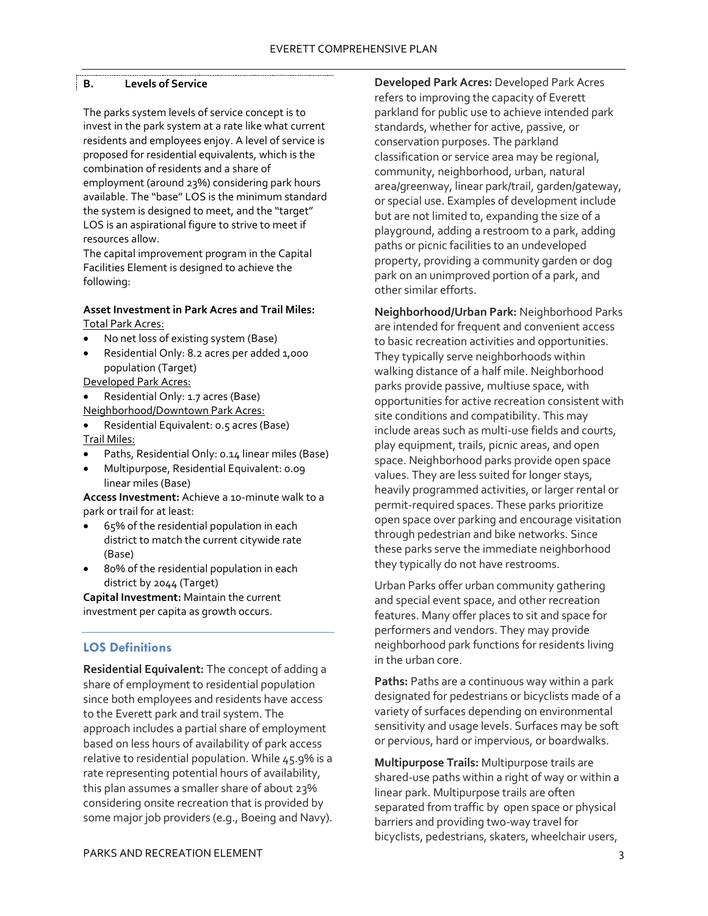# <span id="page-5-0"></span>**B. Levels of Service**

The parks system levels of service concept is to invest in the park system at a rate like what current residents and employees enjoy. A level of service is proposed for residential equivalents, which is the combination of residents and a share of employment (around 23%) considering park hours available. The "base" LOS is the minimum standard the system is designed to meet, and the "target" LOS is an aspirational figure to strive to meet if resources allow.

The capital improvement program in the Capital Facilities Element is designed to achieve the following:

#### **Asset Investment in Park Acres and Trail Miles:** Total Park Acres:

- No net loss of existing system (Base)
- Residential Only: 8.2 acres per added 1,000 population (Target)
- Developed Park Acres:
- Residential Only: 1.7 acres (Base) Neighborhood/Downtown Park Acres:
- Residential Equivalent: 0.5 acres (Base) Trail Miles:
- Paths, Residential Only: 0.14 linear miles (Base)
- Multipurpose, Residential Equivalent: 0.09 linear miles (Base)

**Access Investment:** Achieve a 10-minute walk to a park or trail for at least:

- 65% of the residential population in each district to match the current citywide rate (Base)
- 80% of the residential population in each district by 2044 (Target)

**Capital Investment:** Maintain the current investment per capita as growth occurs.

# **LOS Definitions**

**Residential Equivalent:** The concept of adding a share of employment to residential population since both employees and residents have access to the Everett park and trail system. The approach includes a partial share of employment based on less hours of availability of park access relative to residential population. While 45.9% is a rate representing potential hours of availability, this plan assumes a smaller share of about 23% considering onsite recreation that is provided by some major job providers (e.g., Boeing and Navy).

**Developed Park Acres:** Developed Park Acres refers to improving the capacity of Everett parkland for public use to achieve intended park standards, whether for active, passive, or conservation purposes. The parkland classification or service area may be regional, community, neighborhood, urban, natural area/greenway, linear park/trail, garden/gateway, or special use. Examples of development include but are not limited to, expanding the size of a playground, adding a restroom to a park, adding paths or picnic facilities to an undeveloped property, providing a community garden or dog park on an unimproved portion of a park, and other similar efforts.

**Neighborhood/Urban Park:** Neighborhood Parks are intended for frequent and convenient access to basic recreation activities and opportunities. They typically serve neighborhoods within walking distance of a half mile. Neighborhood parks provide passive, multiuse space, with opportunities for active recreation consistent with site conditions and compatibility. This may include areas such as multi-use fields and courts, play equipment, trails, picnic areas, and open space. Neighborhood parks provide open space values. They are less suited for longer stays, heavily programmed activities, or larger rental or permit-required spaces. These parks prioritize open space over parking and encourage visitation through pedestrian and bike networks. Since these parks serve the immediate neighborhood they typically do not have restrooms.

Urban Parks offer urban community gathering and special event space, and other recreation features. Many offer places to sit and space for performers and vendors. They may provide neighborhood park functions for residents living in the urban core.

**Paths:** Paths are a continuous way within a park designated for pedestrians or bicyclists made of a variety of surfaces depending on environmental sensitivity and usage levels. Surfaces may be soft or pervious, hard or impervious, or boardwalks.

**Multipurpose Trails:** Multipurpose trails are shared-use paths within a right of way or within a linear park. Multipurpose trails are often separated from traffic by open space or physical barriers and providing two-way travel for bicyclists, pedestrians, skaters, wheelchair users,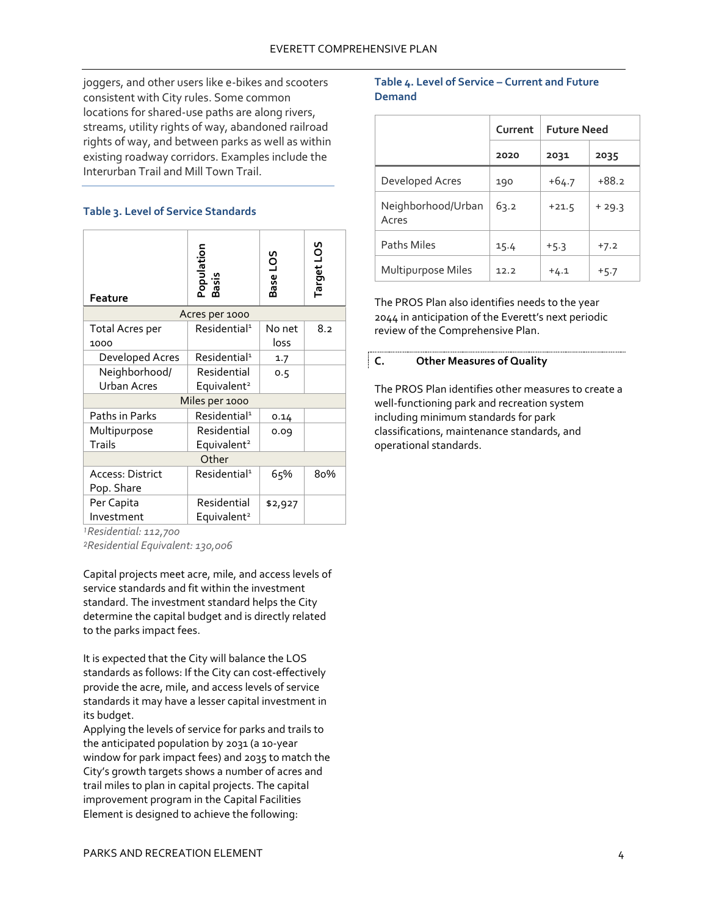joggers, and other users like e-bikes and scooters consistent with City rules. Some common locations for shared-use paths are along rivers, streams, utility rights of way, abandoned railroad rights of way, and between parks as well as within existing roadway corridors. Examples include the Interurban Trail and Mill Town Trail.

# **Table 3. Level of Service Standards**

| <b>Feature</b>                        | Population<br>Basis                    | <b>SO1</b><br><b>Base</b> | Target LOS |  |
|---------------------------------------|----------------------------------------|---------------------------|------------|--|
|                                       | Acres per 1000                         |                           |            |  |
| <b>Total Acres per</b><br>1000        | Residential <sup>1</sup>               | No net<br>loss            | 8.2        |  |
| Developed Acres                       | Residential <sup>1</sup>               | 1.7                       |            |  |
| Neighborhood/<br><b>Urban Acres</b>   | Residential<br>Equivalent <sup>2</sup> | 0.5                       |            |  |
| Miles per 1000                        |                                        |                           |            |  |
| Paths in Parks                        | Residential <sup>1</sup>               | 0.14                      |            |  |
| Multipurpose                          | Residential                            | 0.09                      |            |  |
| <b>Trails</b>                         | Equivalent <sup>2</sup>                |                           |            |  |
| Other                                 |                                        |                           |            |  |
| <b>Access: District</b><br>Pop. Share | Residential <sup>1</sup>               | 65%                       | 80%        |  |
| Per Capita                            | Residential                            | \$2,927                   |            |  |
| Investment                            | Equivalent <sup>2</sup>                |                           |            |  |

*<sup>1</sup>Residential: 112,700*

*<sup>2</sup>Residential Equivalent: 130,006*

Capital projects meet acre, mile, and access levels of service standards and fit within the investment standard. The investment standard helps the City determine the capital budget and is directly related to the parks impact fees.

It is expected that the City will balance the LOS standards as follows: If the City can cost-effectively provide the acre, mile, and access levels of service standards it may have a lesser capital investment in its budget.

Applying the levels of service for parks and trails to the anticipated population by 2031 (a 10-year window for park impact fees) and 2035 to match the City's growth targets shows a number of acres and trail miles to plan in capital projects. The capital improvement program in the Capital Facilities Element is designed to achieve the following:

# **Table 4. Level of Service – Current and Future Demand**

|                             | Current | <b>Future Need</b> |         |
|-----------------------------|---------|--------------------|---------|
|                             | 2020    | 2031               | 2035    |
| Developed Acres             | 190     | $+64.7$            | $+88.2$ |
| Neighborhood/Urban<br>Acres | 63.2    | $+21.5$            | $+29.3$ |
| <b>Paths Miles</b>          | 15.4    | $+5.3$             | $+7.2$  |
| Multipurpose Miles          | 12.2    | $+4.1$             | $+5.7$  |

The PROS Plan also identifies needs to the year 2044 in anticipation of the Everett's next periodic review of the Comprehensive Plan.

# <span id="page-6-0"></span>**C. Other Measures of Quality**

The PROS Plan identifies other measures to create a well-functioning park and recreation system including minimum standards for park classifications, maintenance standards, and operational standards.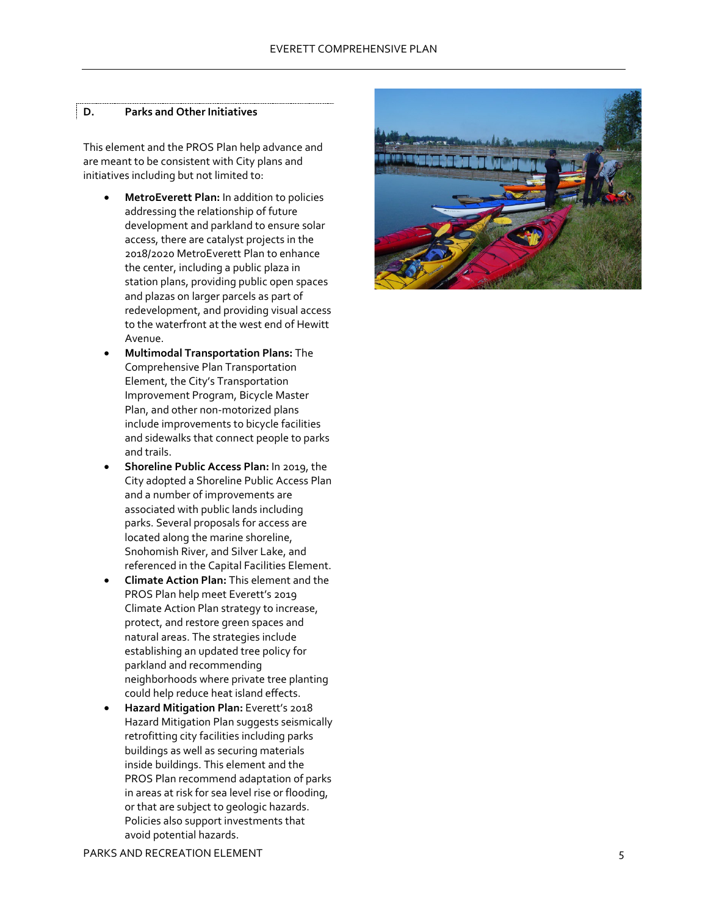#### <span id="page-7-0"></span>**D . Parks and Other Initiatives**

This element and the PROS Plan help advance and are meant to be consistent with City plans and initiatives including but not limited to:

- **MetroEverett Plan:** In addition to policies addressing the relationship of future development and parkland to ensure solar access, there are catalyst projects in the 2018/2020 MetroEverett Plan to enhance the center, including a public plaza in station plans, providing public open spaces and plazas on larger parcels as part of redevelopment, and providing visual access to the waterfront at the west end of Hewitt Avenue.
- **Multimodal Transportation Plans:** The Comprehensive Plan Transportation Element, the City's Transportation Improvement Program, Bicycle Master Plan, and other non -motorized plans include improvements to bicycle facilities and sidewalks that connect people to parks and trails.
- **Shoreline Public Access Plan:** In 2019, the City adopted a Shoreline Public Access Plan and a number of improvements are associated with public lands including parks. Several proposals for access are located along the marine shoreline, Snohomish River, and Silver Lake, and referenced in the Capital Facilities Element.
- **Climate Action Plan :** This element and the PROS Plan help meet Everett's 2019 Climate Action Plan strategy to increase, protect, and restore green spaces and natural areas. The strategies include establishing an updated tree policy for parkland and recommending neighborhoods where private tree planting could help reduce heat island effects.
- **Hazard Mitigation Plan:** Everett's 2018 Hazard Mitigation Plan suggests seismically retrofitting city facilities including parks buildings as well as securing materials inside buildings. This element and the PROS Plan recommend adaptation of parks in areas at risk for sea level rise or flooding, or that are subject to geologic hazards. Policies also support investments that avoid potential hazards.

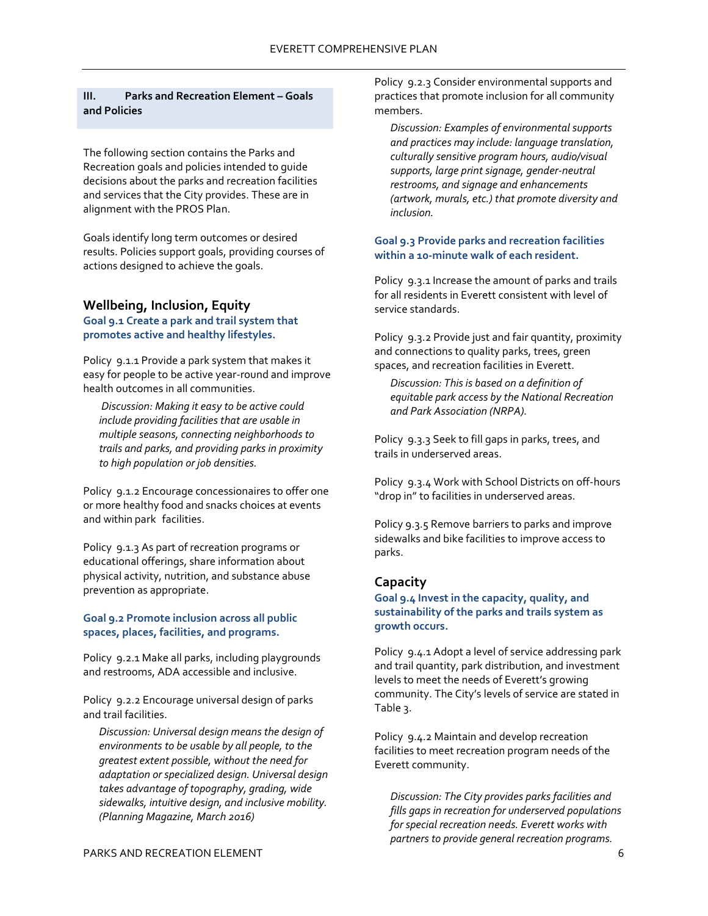# <span id="page-8-0"></span>**III. Parks and Recreation Element – Goals and Policies**

The following section contains the Parks and Recreation goals and policies intended to guide decisions about the parks and recreation facilities and services that the City provides. These are in alignment with the PROS Plan.

Goals identify long term outcomes or desired results. Policies support goals, providing courses of actions designed to achieve the goals.

# <span id="page-8-1"></span>**Wellbeing, Inclusion, Equity**

**Goal 9.1 Create a park and trail system that promotes active and healthy lifestyles.**

Policy 9.1.1 Provide a park system that makes it easy for people to be active year-round and improve health outcomes in all communities.

*Discussion: Making it easy to be active could include providing facilities that are usable in multiple seasons, connecting neighborhoods to trails and parks, and providing parks in proximity to high population or job densities.*

Policy 9.1.2 Encourage concessionaires to offer one or more healthy food and snacks choices at events and within park facilities.

Policy 9.1.3 As part of recreation programs or educational offerings, share information about physical activity, nutrition, and substance abuse prevention as appropriate.

# **Goal 9.2 Promote inclusion across all public spaces, places, facilities, and programs.**

Policy 9.2.1 Make all parks, including playgrounds and restrooms, ADA accessible and inclusive.

Policy 9.2.2 Encourage universal design of parks and trail facilities.

*Discussion: Universal design means the design of environments to be usable by all people, to the greatest extent possible, without the need for adaptation or specialized design. Universal design takes advantage of topography, grading, wide sidewalks, intuitive design, and inclusive mobility. (Planning Magazine, March 2016)*

Policy 9.2.3 Consider environmental supports and practices that promote inclusion for all community members.

*Discussion: Examples of environmental supports and practices may include: language translation, culturally sensitive program hours, audio/visual supports, large print signage, gender-neutral restrooms, and signage and enhancements (artwork, murals, etc.) that promote diversity and inclusion.*

#### **Goal 9.3 Provide parks and recreation facilities within a 10-minute walk of each resident.**

Policy 9.3.1 Increase the amount of parks and trails for all residents in Everett consistent with level of service standards.

Policy 9.3.2 Provide just and fair quantity, proximity and connections to quality parks, trees, green spaces, and recreation facilities in Everett.

*Discussion: This is based on a definition of equitable park access by the National Recreation and Park Association (NRPA).*

Policy 9.3.3 Seek to fill gaps in parks, trees, and trails in underserved areas.

Policy 9.3.4 Work with School Districts on off-hours "drop in" to facilities in underserved areas.

Policy 9.3.5 Remove barriers to parks and improve sidewalks and bike facilities to improve access to parks.

# <span id="page-8-2"></span>**Capacity**

**Goal 9.4 Invest in the capacity, quality, and sustainability of the parks and trails system as growth occurs.** 

Policy 9.4.1 Adopt a level of service addressing park and trail quantity, park distribution, and investment levels to meet the needs of Everett's growing community. The City's levels of service are stated in Table 3.

Policy 9.4.2 Maintain and develop recreation facilities to meet recreation program needs of the Everett community.

*Discussion: The City provides parks facilities and fills gaps in recreation for underserved populations for special recreation needs. Everett works with partners to provide general recreation programs.*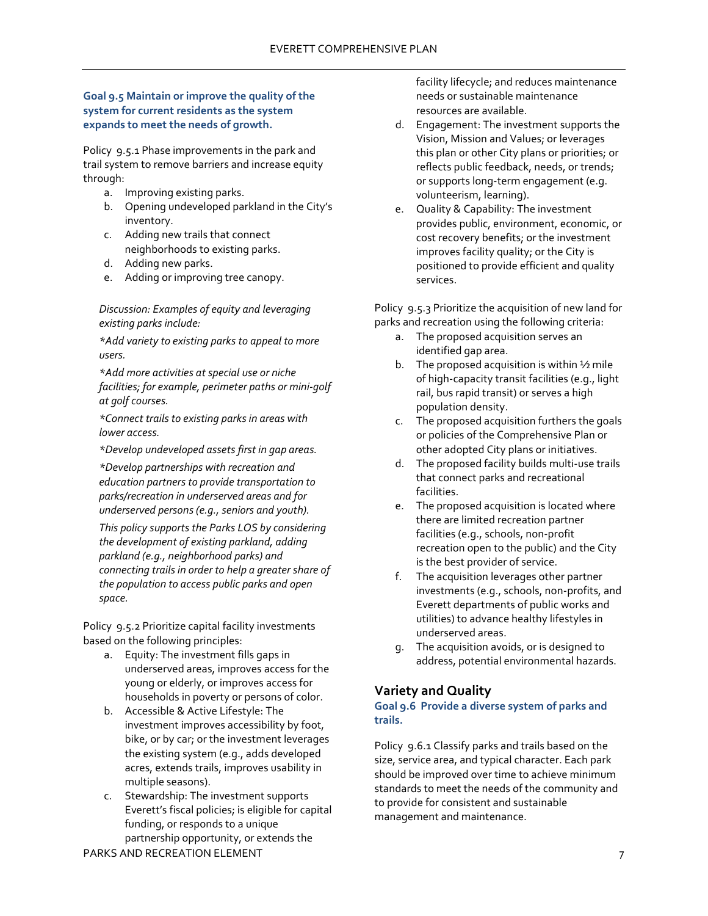# **Goal 9.5 Maintain or improve the quality of the system for current residents as the system expands to meet the needs of growth.**

Policy 9.5.1 Phase improvements in the park and trail system to remove barriers and increase equity through:

- a. Improving existing parks.
- b. Opening undeveloped parkland in the City's inventory.
- c. Adding new trails that connect neighborhoods to existing parks.
- d. Adding new parks.
- e. Adding or improving tree canopy.

*Discussion: Examples of equity and leveraging existing parks include:*

*\*Add variety to existing parks to appeal to more users.* 

*\*Add more activities at special use or niche facilities; for example, perimeter paths or mini-golf at golf courses.*

*\*Connect trails to existing parks in areas with lower access.*

*\*Develop undeveloped assets first in gap areas.*

*\*Develop partnerships with recreation and education partners to provide transportation to parks/recreation in underserved areas and for underserved persons (e.g., seniors and youth).*

*This policy supports the Parks LOS by considering the development of existing parkland, adding parkland (e.g., neighborhood parks) and connecting trails in order to help a greater share of the population to access public parks and open space.*

Policy 9.5.2 Prioritize capital facility investments based on the following principles:

- a. Equity: The investment fills gaps in underserved areas, improves access for the young or elderly, or improves access for households in poverty or persons of color.
- b. Accessible & Active Lifestyle: The investment improves accessibility by foot, bike, or by car; or the investment leverages the existing system (e.g., adds developed acres, extends trails, improves usability in multiple seasons).
- c. Stewardship: The investment supports Everett's fiscal policies; is eligible for capital funding, or responds to a unique partnership opportunity, or extends the

PARKS AND RECREATION ELEMENT 7 7

facility lifecycle; and reduces maintenance needs or sustainable maintenance resources are available.

- d. Engagement: The investment supports the Vision, Mission and Values; or leverages this plan or other City plans or priorities; or reflects public feedback, needs, or trends; or supports long-term engagement (e.g. volunteerism, learning).
- e. Quality & Capability: The investment provides public, environment, economic, or cost recovery benefits; or the investment improves facility quality; or the City is positioned to provide efficient and quality services.

Policy 9.5.3 Prioritize the acquisition of new land for parks and recreation using the following criteria:

- a. The proposed acquisition serves an identified gap area.
- b. The proposed acquisition is within  $\frac{1}{2}$  mile of high-capacity transit facilities (e.g., light rail, bus rapid transit) or serves a high population density.
- c. The proposed acquisition furthers the goals or policies of the Comprehensive Plan or other adopted City plans or initiatives.
- d. The proposed facility builds multi-use trails that connect parks and recreational facilities.
- e. The proposed acquisition is located where there are limited recreation partner facilities (e.g., schools, non-profit recreation open to the public) and the City is the best provider of service.
- f. The acquisition leverages other partner investments (e.g., schools, non-profits, and Everett departments of public works and utilities) to advance healthy lifestyles in underserved areas.
- g. The acquisition avoids, or is designed to address, potential environmental hazards.

# <span id="page-9-0"></span>**Variety and Quality**

#### **Goal 9.6 Provide a diverse system of parks and trails.**

Policy 9.6.1 Classify parks and trails based on the size, service area, and typical character. Each park should be improved over time to achieve minimum standards to meet the needs of the community and to provide for consistent and sustainable management and maintenance.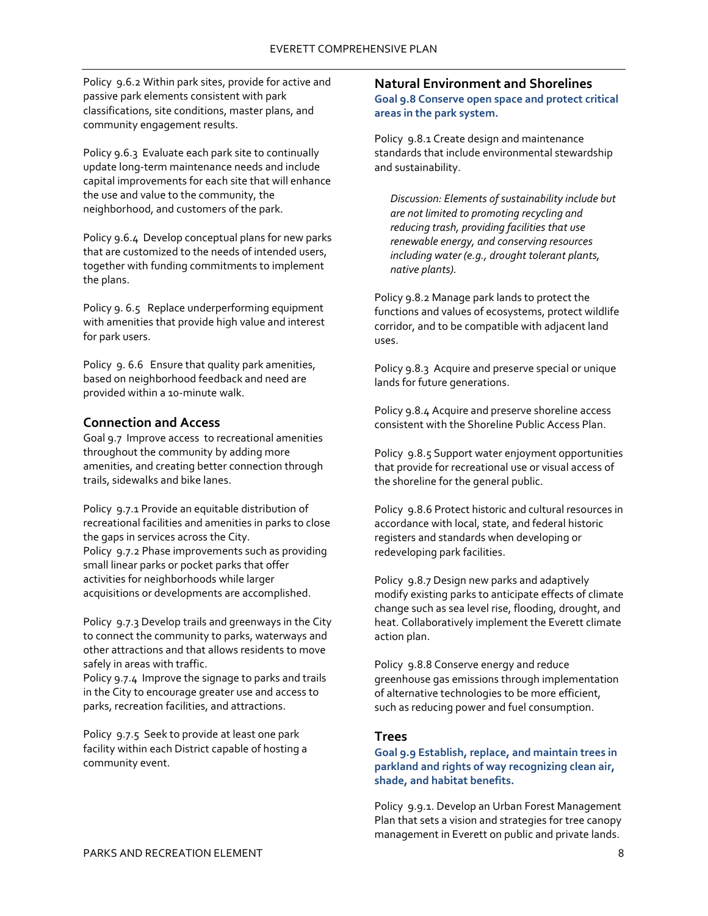Policy 9.6.2 Within park sites, provide for active and passive park elements consistent with park classifications, site conditions, master plans, and community engagement results.

Policy 9.6.3 Evaluate each park site to continually update long-term maintenance needs and include capital improvements for each site that will enhance the use and value to the community, the neighborhood, and customers of the park.

Policy 9.6.4 Develop conceptual plans for new parks that are customized to the needs of intended users, together with funding commitments to implement the plans.

Policy 9. 6.5 Replace underperforming equipment with amenities that provide high value and interest for park users.

Policy 9. 6.6 Ensure that quality park amenities, based on neighborhood feedback and need are provided within a 10-minute walk.

# <span id="page-10-0"></span>**Connection and Access**

Goal 9.7 Improve access to recreational amenities throughout the community by adding more amenities, and creating better connection through trails, sidewalks and bike lanes.

Policy 9.7.1 Provide an equitable distribution of recreational facilities and amenities in parks to close the gaps in services across the City. Policy 9.7.2 Phase improvements such as providing small linear parks or pocket parks that offer activities for neighborhoods while larger acquisitions or developments are accomplished.

Policy 9.7.3 Develop trails and greenways in the City to connect the community to parks, waterways and other attractions and that allows residents to move safely in areas with traffic.

Policy 9.7.4 Improve the signage to parks and trails in the City to encourage greater use and access to parks, recreation facilities, and attractions.

Policy 9.7.5 Seek to provide at least one park facility within each District capable of hosting a community event.

# <span id="page-10-1"></span>**Natural Environment and Shorelines Goal 9.8 Conserve open space and protect critical areas in the park system.**

Policy 9.8.1 Create design and maintenance standards that include environmental stewardship and sustainability.

*Discussion: Elements of sustainability include but are not limited to promoting recycling and reducing trash, providing facilities that use renewable energy, and conserving resources including water (e.g., drought tolerant plants, native plants).*

Policy 9.8.2 Manage park lands to protect the functions and values of ecosystems, protect wildlife corridor, and to be compatible with adjacent land uses.

Policy 9.8.3 Acquire and preserve special or unique lands for future generations.

Policy 9.8.4 Acquire and preserve shoreline access consistent with the Shoreline Public Access Plan.

Policy 9.8.5 Support water enjoyment opportunities that provide for recreational use or visual access of the shoreline for the general public.

Policy 9.8.6 Protect historic and cultural resources in accordance with local, state, and federal historic registers and standards when developing or redeveloping park facilities.

Policy 9.8.7 Design new parks and adaptively modify existing parks to anticipate effects of climate change such as sea level rise, flooding, drought, and heat. Collaboratively implement the Everett climate action plan.

Policy 9.8.8 Conserve energy and reduce greenhouse gas emissions through implementation of alternative technologies to be more efficient, such as reducing power and fuel consumption.

# <span id="page-10-2"></span>**Trees**

**Goal 9.9 Establish, replace, and maintain trees in parkland and rights of way recognizing clean air, shade, and habitat benefits.**

Policy 9.9.1. Develop an Urban Forest Management Plan that sets a vision and strategies for tree canopy management in Everett on public and private lands.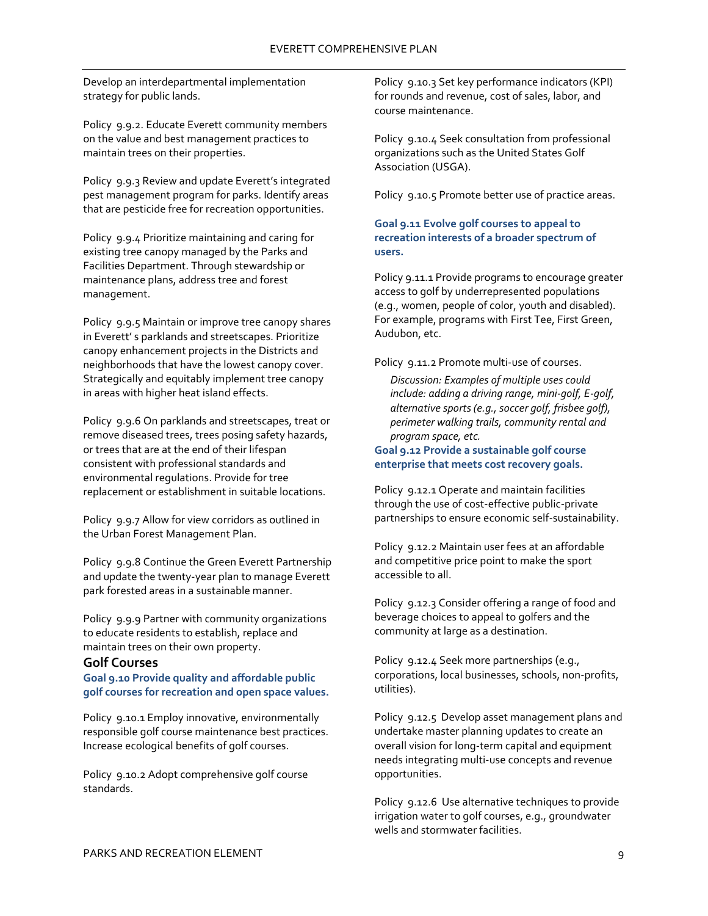Develop an interdepartmental implementation strategy for public lands.

Policy 9.9.2. Educate Everett community members on the value and best management practices to maintain trees on their properties.

Policy 9.9.3 Review and update Everett's integrated pest management program for parks. Identify areas that are pesticide free for recreation opportunities.

Policy 9.9.4 Prioritize maintaining and caring for existing tree canopy managed by the Parks and Facilities Department. Through stewardship or maintenance plans, address tree and forest management.

Policy 9.9.5 Maintain or improve tree canopy shares in Everett' s parklands and streetscapes. Prioritize canopy enhancement projects in the Districts and neighborhoods that have the lowest canopy cover. Strategically and equitably implement tree canopy in areas with higher heat island effects.

Policy 9.9.6 On parklands and streetscapes, treat or remove diseased trees, trees posing safety hazards, or trees that are at the end of their lifespan consistent with professional standards and environmental regulations. Provide for tree replacement or establishment in suitable locations.

Policy 9.9.7 Allow for view corridors as outlined in the Urban Forest Management Plan.

Policy 9.9.8 Continue the Green Everett Partnership and update the twenty-year plan to manage Everett park forested areas in a sustainable manner.

Policy 9.9.9 Partner with community organizations to educate residents to establish, replace and maintain trees on their own property.

# <span id="page-11-0"></span>**Golf Courses**

**Goal 9.10 Provide quality and affordable public golf courses for recreation and open space values.** 

Policy 9.10.1 Employ innovative, environmentally responsible golf course maintenance best practices. Increase ecological benefits of golf courses.

Policy 9.10.2 Adopt comprehensive golf course standards.

Policy 9.10.3 Set key performance indicators (KPI) for rounds and revenue, cost of sales, labor, and course maintenance.

Policy 9.10.4 Seek consultation from professional organizations such as the United States Golf Association (USGA).

Policy 9.10.5 Promote better use of practice areas.

# **Goal 9.11 Evolve golf courses to appeal to recreation interests of a broader spectrum of users.**

Policy 9.11.1 Provide programs to encourage greater access to golf by underrepresented populations (e.g., women, people of color, youth and disabled). For example, programs with First Tee, First Green, Audubon, etc.

Policy 9.11.2 Promote multi-use of courses.

*Discussion: Examples of multiple uses could include: adding a driving range, mini-golf, E-golf, alternative sports (e.g., soccer golf, frisbee golf), perimeter walking trails, community rental and program space, etc.*

# **Goal 9.12 Provide a sustainable golf course enterprise that meets cost recovery goals.**

Policy 9.12.1 Operate and maintain facilities through the use of cost-effective public-private partnerships to ensure economic self-sustainability.

Policy 9.12.2 Maintain user fees at an affordable and competitive price point to make the sport accessible to all.

Policy 9.12.3 Consider offering a range of food and beverage choices to appeal to golfers and the community at large as a destination.

Policy 9.12.4 Seek more partnerships (e.g., corporations, local businesses, schools, non-profits, utilities).

Policy 9.12.5 Develop asset management plans and undertake master planning updates to create an overall vision for long-term capital and equipment needs integrating multi-use concepts and revenue opportunities.

Policy 9.12.6 Use alternative techniques to provide irrigation water to golf courses, e.g., groundwater wells and stormwater facilities.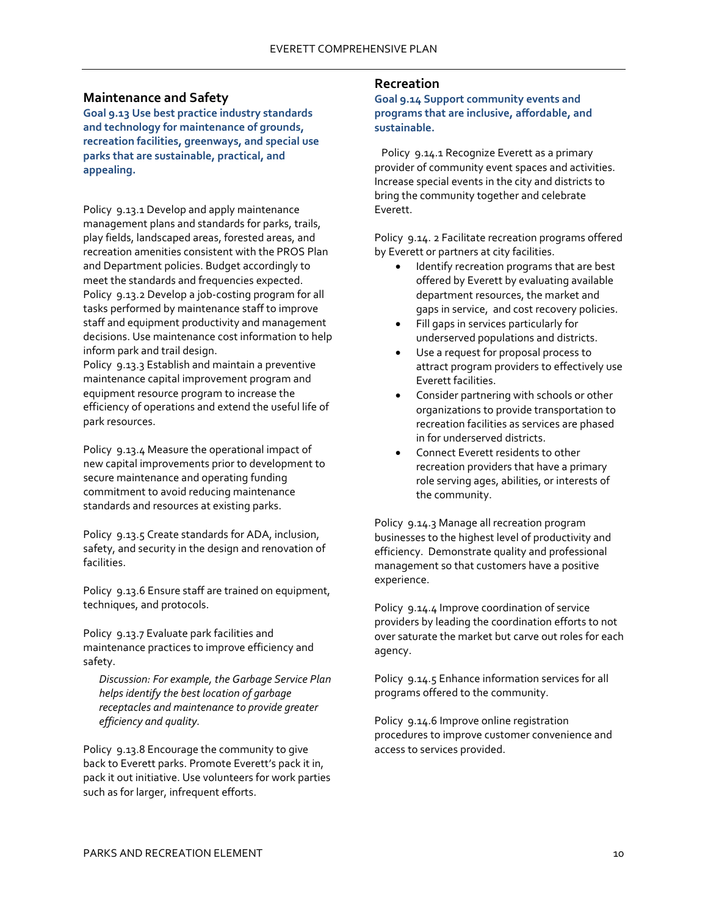# <span id="page-12-0"></span>**Maintenance and Safety**

**Goal 9.13 Use best practice industry standards and technology for maintenance of grounds, recreation facilities, greenways, and special use parks that are sustainable, practical, and appealing.**

Policy 9.13.1 Develop and apply maintenance management plans and standards for parks, trails, play fields, landscaped areas, forested areas, and recreation amenities consistent with the PROS Plan and Department policies. Budget accordingly to meet the standards and frequencies expected. Policy 9.13.2 Develop a job-costing program for all tasks performed by maintenance staff to improve staff and equipment productivity and management decisions. Use maintenance cost information to help inform park and trail design.

Policy 9.13.3 Establish and maintain a preventive maintenance capital improvement program and equipment resource program to increase the efficiency of operations and extend the useful life of park resources.

Policy 9.13.4 Measure the operational impact of new capital improvements prior to development to secure maintenance and operating funding commitment to avoid reducing maintenance standards and resources at existing parks.

Policy 9.13.5 Create standards for ADA, inclusion, safety, and security in the design and renovation of facilities.

Policy 9.13.6 Ensure staff are trained on equipment, techniques, and protocols.

Policy 9.13.7 Evaluate park facilities and maintenance practices to improve efficiency and safety.

*Discussion: For example, the Garbage Service Plan helps identify the best location of garbage receptacles and maintenance to provide greater efficiency and quality.*

Policy 9.13.8 Encourage the community to give back to Everett parks. Promote Everett's pack it in, pack it out initiative. Use volunteers for work parties such as for larger, infrequent efforts.

# <span id="page-12-1"></span>**Recreation**

**Goal 9.14 Support community events and programs that are inclusive, affordable, and sustainable.**

Policy 9.14.1 Recognize Everett as a primary provider of community event spaces and activities. Increase special events in the city and districts to bring the community together and celebrate Everett.

Policy 9.14. 2 Facilitate recreation programs offered by Everett or partners at city facilities.

- Identify recreation programs that are best offered by Everett by evaluating available department resources, the market and gaps in service, and cost recovery policies.
- Fill gaps in services particularly for underserved populations and districts.
- Use a request for proposal process to attract program providers to effectively use Everett facilities.
- Consider partnering with schools or other organizations to provide transportation to recreation facilities as services are phased in for underserved districts.
- Connect Everett residents to other recreation providers that have a primary role serving ages, abilities, or interests of the community.

Policy 9.14.3 Manage all recreation program businesses to the highest level of productivity and efficiency. Demonstrate quality and professional management so that customers have a positive experience.

Policy 9.14.4 Improve coordination of service providers by leading the coordination efforts to not over saturate the market but carve out roles for each agency.

Policy 9.14.5 Enhance information services for all programs offered to the community.

Policy 9.14.6 Improve online registration procedures to improve customer convenience and access to services provided.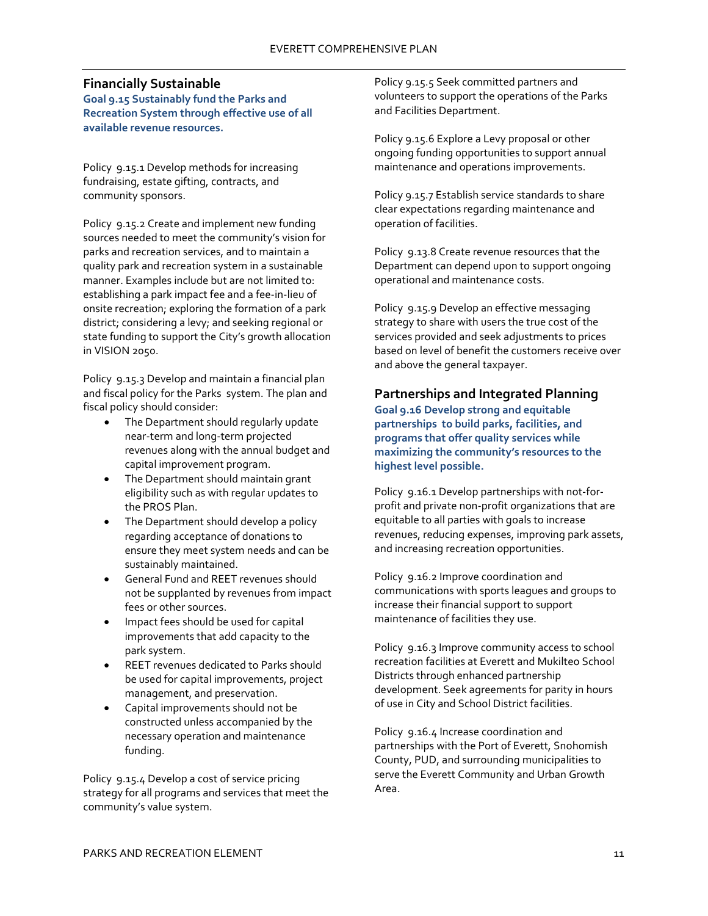# <span id="page-13-0"></span>**Financially Sustainable**

**Goal 9.15 Sustainably fund the Parks and Recreation System through effective use of all available revenue resources.**

Policy 9.15.1 Develop methods for increasing fundraising, estate gifting, contracts, and community sponsors.

Policy 9.15.2 Create and implement new funding sources needed to meet the community's vision for parks and recreation services, and to maintain a quality park and recreation system in a sustainable manner. Examples include but are not limited to: establishing a park impact fee and a fee-in-lieu of onsite recreation; exploring the formation of a park district; considering a levy; and seeking regional or state funding to support the City's growth allocation in VISION 2050.

Policy 9.15.3 Develop and maintain a financial plan and fiscal policy for the Parks system. The plan and fiscal policy should consider:

- The Department should regularly update near-term and long-term projected revenues along with the annual budget and capital improvement program.
- The Department should maintain grant eligibility such as with regular updates to the PROS Plan.
- The Department should develop a policy regarding acceptance of donations to ensure they meet system needs and can be sustainably maintained.
- General Fund and REET revenues should not be supplanted by revenues from impact fees or other sources.
- Impact fees should be used for capital improvements that add capacity to the park system.
- REET revenues dedicated to Parks should be used for capital improvements, project management, and preservation.
- Capital improvements should not be constructed unless accompanied by the necessary operation and maintenance funding.

Policy 9.15.4 Develop a cost of service pricing strategy for all programs and services that meet the community's value system.

Policy 9.15.5 Seek committed partners and volunteers to support the operations of the Parks and Facilities Department.

Policy 9.15.6 Explore a Levy proposal or other ongoing funding opportunities to support annual maintenance and operations improvements.

Policy 9.15.7 Establish service standards to share clear expectations regarding maintenance and operation of facilities.

Policy 9.13.8 Create revenue resources that the Department can depend upon to support ongoing operational and maintenance costs.

Policy 9.15.9 Develop an effective messaging strategy to share with users the true cost of the services provided and seek adjustments to prices based on level of benefit the customers receive over and above the general taxpayer.

# <span id="page-13-1"></span>**Partnerships and Integrated Planning**

**Goal 9.16 Develop strong and equitable partnerships to build parks, facilities, and programs that offer quality services while maximizing the community's resources to the highest level possible.**

Policy 9.16.1 Develop partnerships with not-forprofit and private non-profit organizations that are equitable to all parties with goals to increase revenues, reducing expenses, improving park assets, and increasing recreation opportunities.

Policy 9.16.2 Improve coordination and communications with sports leagues and groups to increase their financial support to support maintenance of facilities they use.

Policy 9.16.3 Improve community access to school recreation facilities at Everett and Mukilteo School Districts through enhanced partnership development. Seek agreements for parity in hours of use in City and School District facilities.

Policy 9.16.4 Increase coordination and partnerships with the Port of Everett, Snohomish County, PUD, and surrounding municipalities to serve the Everett Community and Urban Growth Area.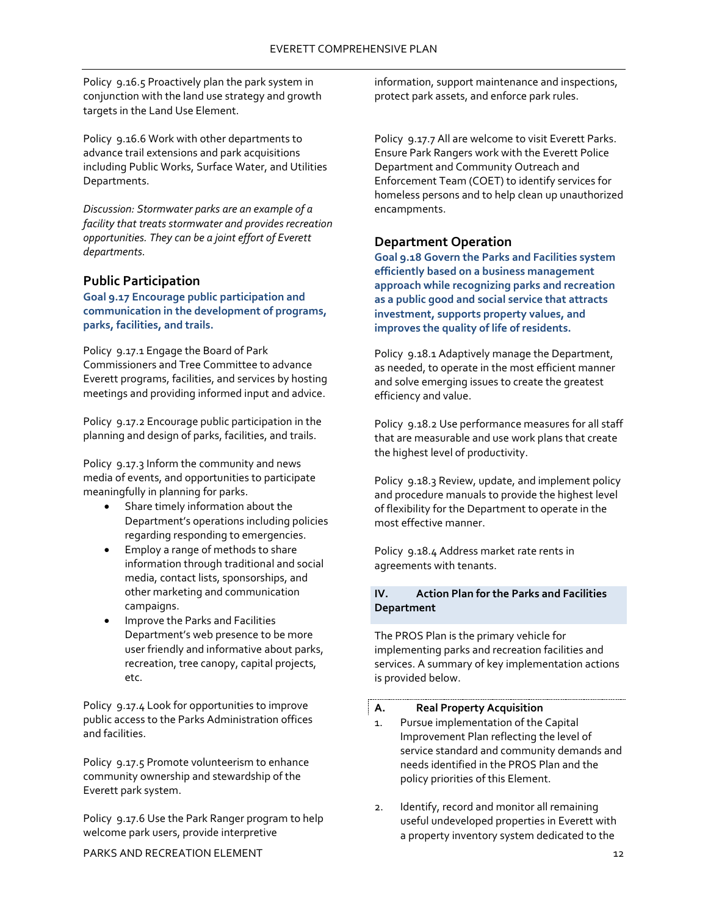Policy 9.16.5 Proactively plan the park system in conjunction with the land use strategy and growth targets in the Land Use Element.

Policy 9.16.6 Work with other departments to advance trail extensions and park acquisitions including Public Works, Surface Water, and Utilities Departments.

*Discussion: Stormwater parks are an example of a facility that treats stormwater and provides recreation opportunities. They can be a joint effort of Everett departments.* 

# <span id="page-14-0"></span>**Public Participation**

**Goal 9.17 Encourage public participation and communication in the development of programs, parks, facilities, and trails.**

Policy 9.17.1 Engage the Board of Park Commissioners and Tree Committee to advance Everett programs, facilities, and services by hosting meetings and providing informed input and advice.

Policy 9.17.2 Encourage public participation in the planning and design of parks, facilities, and trails.

Policy 9.17.3 Inform the community and news media of events, and opportunities to participate meaningfully in planning for parks.

- Share timely information about the Department's operations including policies regarding responding to emergencies.
- Employ a range of methods to share information through traditional and social media, contact lists, sponsorships, and other marketing and communication campaigns.
- Improve the Parks and Facilities Department's web presence to be more user friendly and informative about parks, recreation, tree canopy, capital projects, etc.

Policy 9.17.4 Look for opportunities to improve public access to the Parks Administration offices and facilities.

Policy 9.17.5 Promote volunteerism to enhance community ownership and stewardship of the Everett park system.

Policy 9.17.6 Use the Park Ranger program to help welcome park users, provide interpretive

information, support maintenance and inspections, protect park assets, and enforce park rules.

Policy 9.17.7 All are welcome to visit Everett Parks. Ensure Park Rangers work with the Everett Police Department and Community Outreach and Enforcement Team (COET) to identify services for homeless persons and to help clean up unauthorized encampments.

# <span id="page-14-1"></span>**Department Operation**

**Goal 9.18 Govern the Parks and Facilities system efficiently based on a business management approach while recognizing parks and recreation as a public good and social service that attracts investment, supports property values, and improves the quality of life of residents.**

Policy 9.18.1 Adaptively manage the Department, as needed, to operate in the most efficient manner and solve emerging issues to create the greatest efficiency and value.

Policy 9.18.2 Use performance measures for all staff that are measurable and use work plans that create the highest level of productivity.

Policy 9.18.3 Review, update, and implement policy and procedure manuals to provide the highest level of flexibility for the Department to operate in the most effective manner.

Policy 9.18.4 Address market rate rents in agreements with tenants.

# <span id="page-14-2"></span>**IV. Action Plan for the Parks and Facilities Department**

The PROS Plan is the primary vehicle for implementing parks and recreation facilities and services. A summary of key implementation actions is provided below.

#### <span id="page-14-3"></span>**A. Real Property Acquisition**

- 1. Pursue implementation of the Capital Improvement Plan reflecting the level of service standard and community demands and needs identified in the PROS Plan and the policy priorities of this Element.
- 2. Identify, record and monitor all remaining useful undeveloped properties in Everett with a property inventory system dedicated to the

PARKS AND RECREATION ELEMENT 12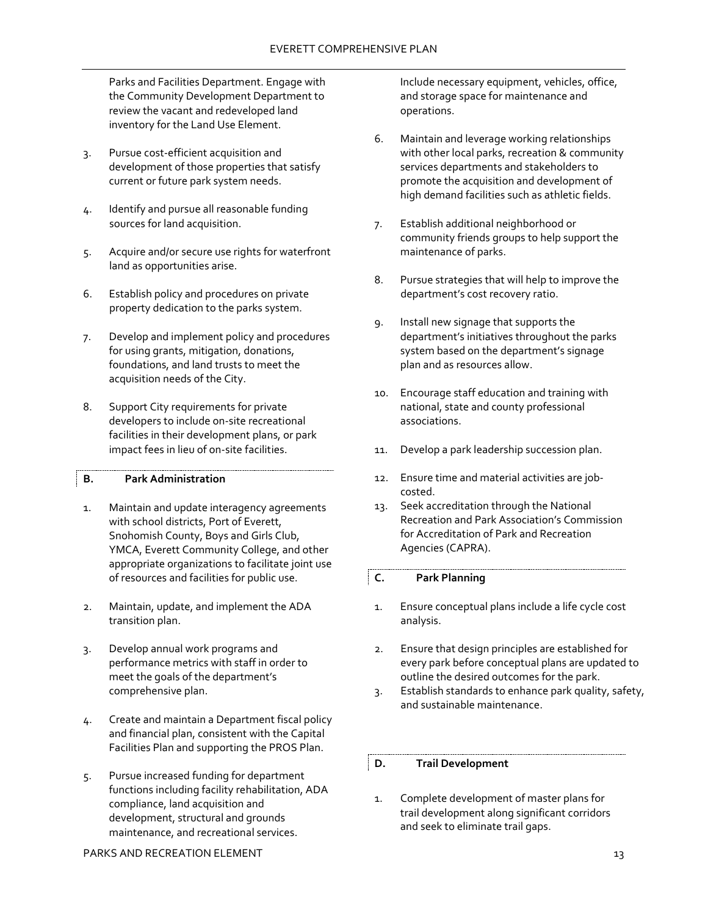Parks and Facilities Department. Engage with the Community Development Department to review the vacant and redeveloped land inventory for the Land Use Element.

- 3. Pursue cost-efficient acquisition and development of those properties that satisfy current or future park system needs.
- 4. Identify and pursue all reasonable funding sources for land acquisition.
- 5. Acquire and/or secure use rights for waterfront land as opportunities arise.
- 6. Establish policy and procedures on private property dedication to the parks system.
- 7. Develop and implement policy and procedures for using grants, mitigation, donations, foundations, and land trusts to meet the acquisition needs of the City.
- 8. Support City requirements for private developers to include on-site recreational facilities in their development plans, or park impact fees in lieu of on-site facilities.

# <span id="page-15-0"></span>**B. Park Administration**

- 1. Maintain and update interagency agreements with school districts, Port of Everett, Snohomish County, Boys and Girls Club, YMCA, Everett Community College, and other appropriate organizations to facilitate joint use of resources and facilities for public use.
- 2. Maintain, update, and implement the ADA transition plan.
- 3. Develop annual work programs and performance metrics with staff in order to meet the goals of the department's comprehensive plan.
- 4. Create and maintain a Department fiscal policy and financial plan, consistent with the Capital Facilities Plan and supporting the PROS Plan.
- 5. Pursue increased funding for department functions including facility rehabilitation, ADA compliance, land acquisition and development, structural and grounds maintenance, and recreational services.

Include necessary equipment, vehicles, office, and storage space for maintenance and operations.

- 6. Maintain and leverage working relationships with other local parks, recreation & community services departments and stakeholders to promote the acquisition and development of high demand facilities such as athletic fields.
- 7. Establish additional neighborhood or community friends groups to help support the maintenance of parks.
- 8. Pursue strategies that will help to improve the department's cost recovery ratio.
- 9. Install new signage that supports the department's initiatives throughout the parks system based on the department's signage plan and as resources allow.
- 10. Encourage staff education and training with national, state and county professional associations.
- 11. Develop a park leadership succession plan.
- 12. Ensure time and material activities are jobcosted.
- 13. Seek accreditation through the National Recreation and Park Association's Commission for Accreditation of Park and Recreation Agencies (CAPRA).

# <span id="page-15-1"></span>**C. Park Planning**

- 1. Ensure conceptual plans include a life cycle cost analysis.
- 2. Ensure that design principles are established for every park before conceptual plans are updated to outline the desired outcomes for the park.
- 3. Establish standards to enhance park quality, safety, and sustainable maintenance.

# <span id="page-15-2"></span>**D. Trail Development**

1. Complete development of master plans for trail development along significant corridors and seek to eliminate trail gaps.